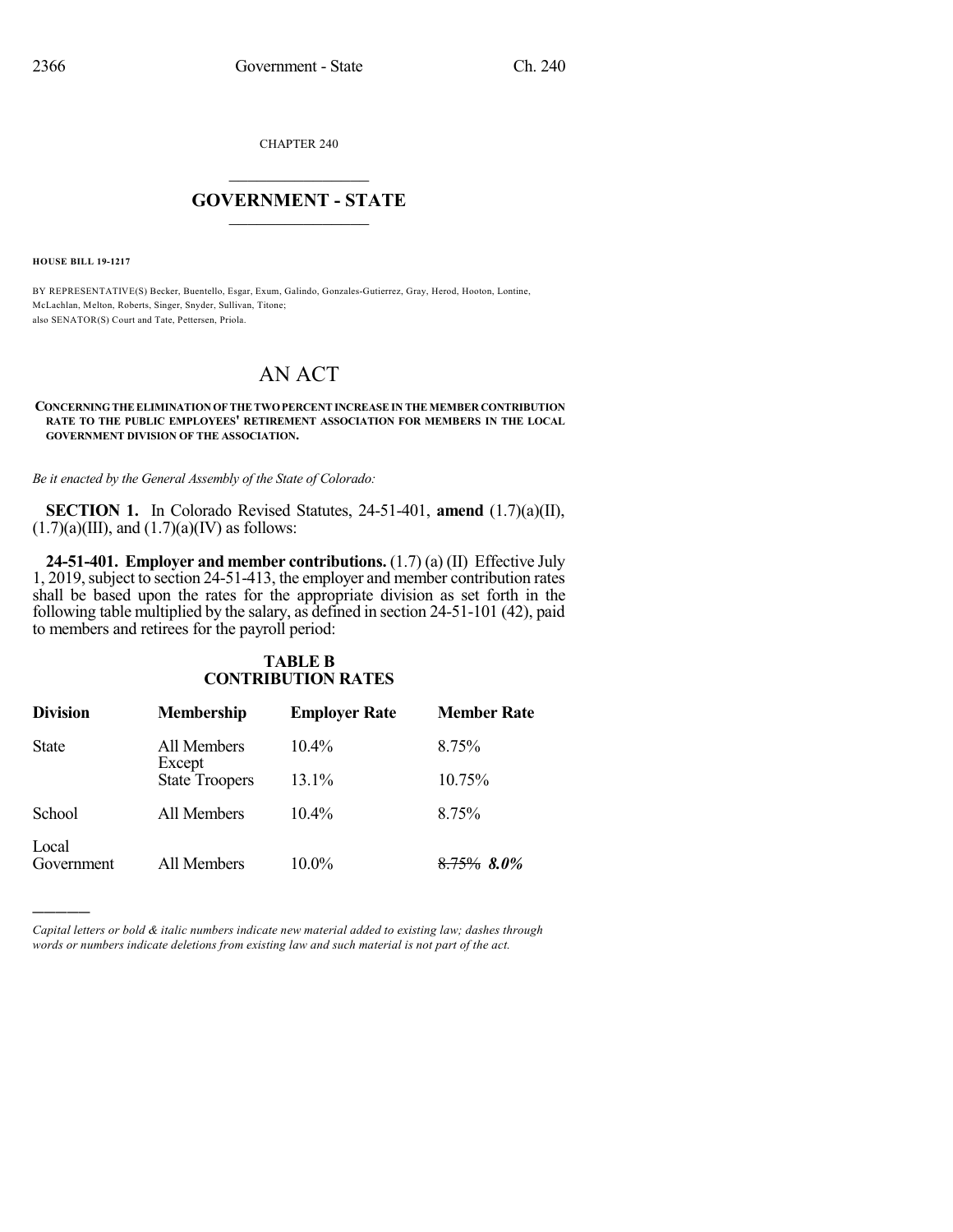CHAPTER 240

## $\overline{\phantom{a}}$  . The set of the set of the set of the set of the set of the set of the set of the set of the set of the set of the set of the set of the set of the set of the set of the set of the set of the set of the set o **GOVERNMENT - STATE**  $\_$

**HOUSE BILL 19-1217**

)))))

BY REPRESENTATIVE(S) Becker, Buentello, Esgar, Exum, Galindo, Gonzales-Gutierrez, Gray, Herod, Hooton, Lontine, McLachlan, Melton, Roberts, Singer, Snyder, Sullivan, Titone; also SENATOR(S) Court and Tate, Pettersen, Priola.

# AN ACT

#### **CONCERNINGTHEELIMINATION OFTHETWOPERCENTINCREASE IN THE MEMBER CONTRIBUTION RATE TO THE PUBLIC EMPLOYEES' RETIREMENT ASSOCIATION FOR MEMBERS IN THE LOCAL GOVERNMENT DIVISION OF THE ASSOCIATION.**

*Be it enacted by the General Assembly of the State of Colorado:*

**SECTION 1.** In Colorado Revised Statutes, 24-51-401, **amend** (1.7)(a)(II),  $(1.7)(a)(III)$ , and  $(1.7)(a)(IV)$  as follows:

**24-51-401. Employer and member contributions.** (1.7) (a) (II) Effective July 1, 2019, subject to section 24-51-413, the employer and member contribution rates shall be based upon the rates for the appropriate division as set forth in the following table multiplied by the salary, as defined in section 24-51-101 (42), paid to members and retirees for the payroll period:

#### **TABLE B CONTRIBUTION RATES**

| <b>Division</b>     | <b>Membership</b>     | <b>Employer Rate</b> | <b>Member Rate</b> |
|---------------------|-----------------------|----------------------|--------------------|
| <b>State</b>        | All Members<br>Except | $10.4\%$             | 8.75%              |
|                     | <b>State Troopers</b> | $13.1\%$             | 10.75%             |
| School              | All Members           | $10.4\%$             | 8.75%              |
| Local<br>Government | All Members           | $10.0\%$             | $8.75\%$ $8.0\%$   |

*Capital letters or bold & italic numbers indicate new material added to existing law; dashes through words or numbers indicate deletions from existing law and such material is not part of the act.*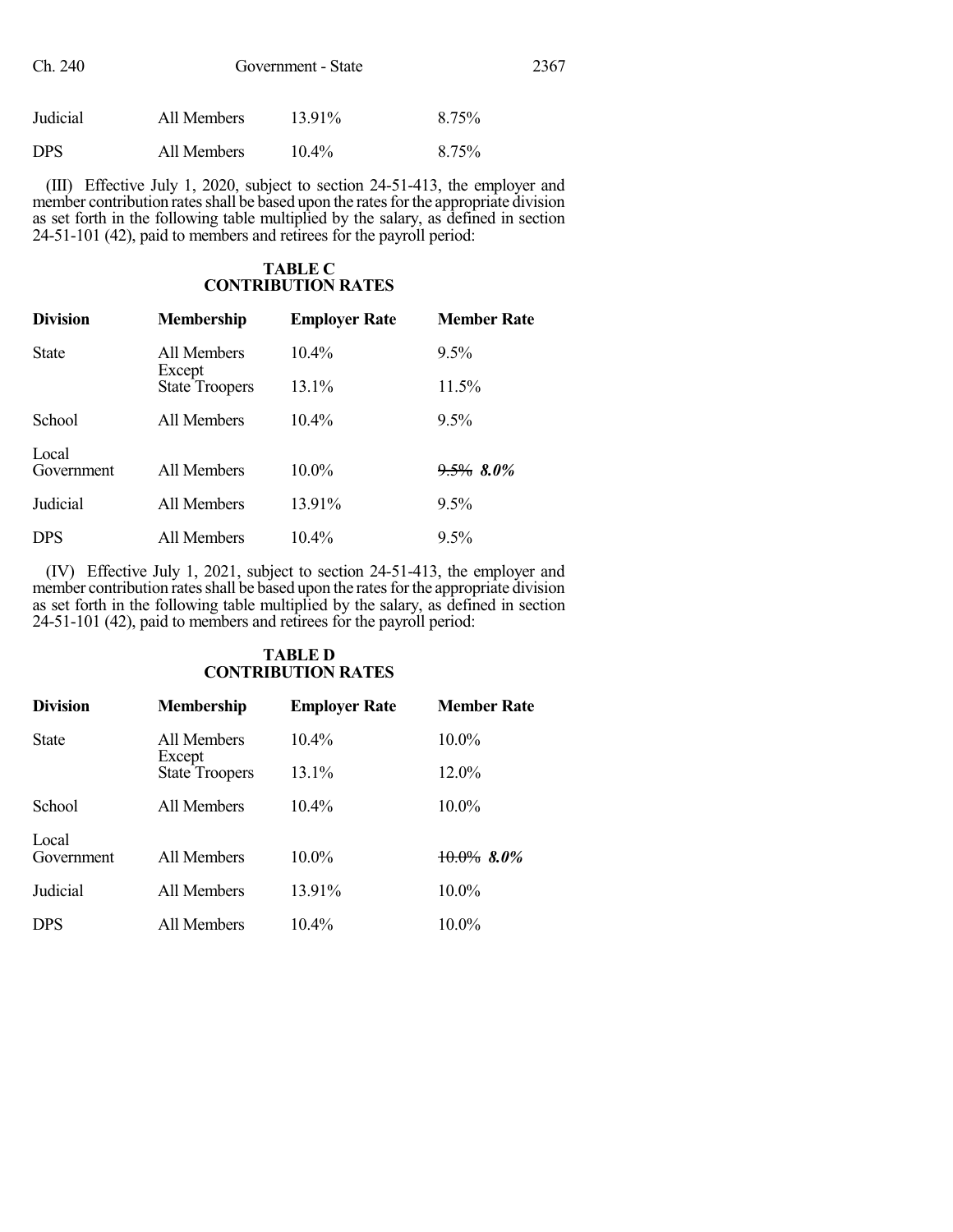| Ch. 240    | Government - State |           |       | 2367 |
|------------|--------------------|-----------|-------|------|
| Judicial   | All Members        | $13.91\%$ | 8.75% |      |
| <b>DPS</b> | All Members        | $10.4\%$  | 8.75% |      |

(III) Effective July 1, 2020, subject to section 24-51-413, the employer and member contribution rates shall be based upon the rates for the appropriate division as set forth in the following table multiplied by the salary, as defined in section 24-51-101 (42), paid to members and retirees for the payroll period:

#### **TABLE C CONTRIBUTION RATES**

| <b>Division</b>     | <b>Membership</b>               | <b>Employer Rate</b> | <b>Member Rate</b> |
|---------------------|---------------------------------|----------------------|--------------------|
| <b>State</b>        | All Members                     | $10.4\%$             | $9.5\%$            |
|                     | Except<br><b>State Troopers</b> | 13.1%                | 11.5%              |
| School              | All Members                     | $10.4\%$             | $9.5\%$            |
| Local<br>Government | All Members                     | $10.0\%$             | $9.5\%$ 8.0%       |
| Judicial            | All Members                     | 13.91%               | $9.5\%$            |
| <b>DPS</b>          | All Members                     | $10.4\%$             | $9.5\%$            |

(IV) Effective July 1, 2021, subject to section 24-51-413, the employer and member contribution rates shall be based upon the rates for the appropriate division as set forth in the following table multiplied by the salary, as defined in section 24-51-101 (42), paid to members and retirees for the payroll period:

### **TABLE D CONTRIBUTION RATES**

| <b>Division</b>     | <b>Membership</b>     | <b>Employer Rate</b> | <b>Member Rate</b> |
|---------------------|-----------------------|----------------------|--------------------|
| <b>State</b>        | All Members<br>Except | $10.4\%$             | $10.0\%$           |
|                     | <b>State Troopers</b> | 13.1%                | 12.0%              |
| School              | All Members           | $10.4\%$             | $10.0\%$           |
| Local<br>Government | All Members           | $10.0\%$             | $10.0\%$ 8.0%      |
| Judicial            | All Members           | 13.91%               | 10.0%              |
| <b>DPS</b>          | All Members           | $10.4\%$             | $10.0\%$           |